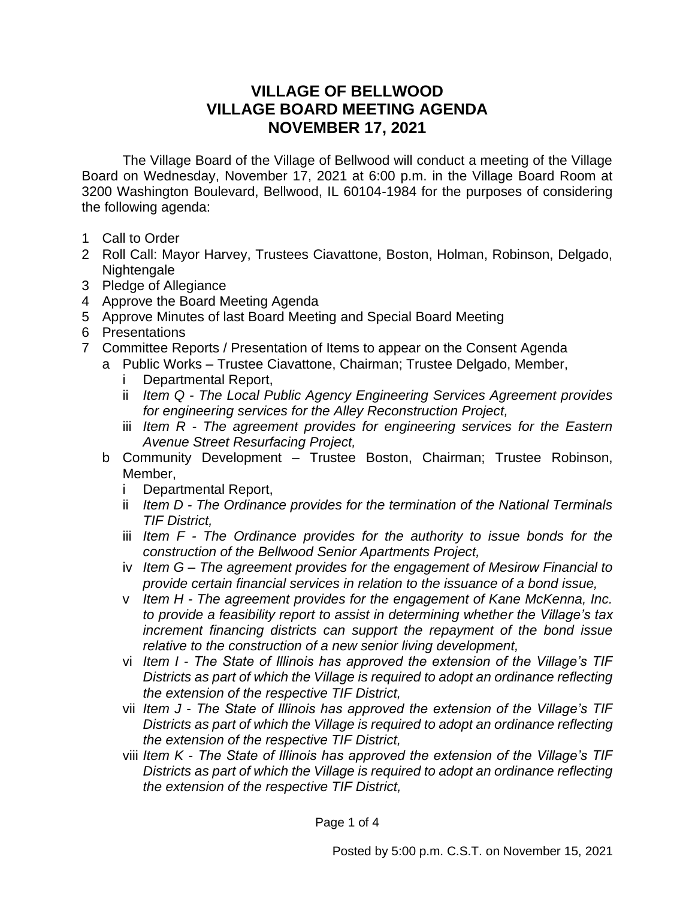## **VILLAGE OF BELLWOOD VILLAGE BOARD MEETING AGENDA NOVEMBER 17, 2021**

The Village Board of the Village of Bellwood will conduct a meeting of the Village Board on Wednesday, November 17, 2021 at 6:00 p.m. in the Village Board Room at 3200 Washington Boulevard, Bellwood, IL 60104-1984 for the purposes of considering the following agenda:

- 1 Call to Order
- 2 Roll Call: Mayor Harvey, Trustees Ciavattone, Boston, Holman, Robinson, Delgado, Nightengale
- 3 Pledge of Allegiance
- 4 Approve the Board Meeting Agenda
- 5 Approve Minutes of last Board Meeting and Special Board Meeting
- 6 Presentations
- 7 Committee Reports / Presentation of Items to appear on the Consent Agenda
	- a Public Works Trustee Ciavattone, Chairman; Trustee Delgado, Member,
		- i Departmental Report,
		- ii *Item Q - The Local Public Agency Engineering Services Agreement provides for engineering services for the Alley Reconstruction Project,*
		- iii *Item R - The agreement provides for engineering services for the Eastern Avenue Street Resurfacing Project,*
	- b Community Development Trustee Boston, Chairman; Trustee Robinson, Member,
		- i Departmental Report,
		- ii *Item D - The Ordinance provides for the termination of the National Terminals TIF District,*
		- iii *Item F - The Ordinance provides for the authority to issue bonds for the construction of the Bellwood Senior Apartments Project,*
		- iv *Item G – The agreement provides for the engagement of Mesirow Financial to provide certain financial services in relation to the issuance of a bond issue,*
		- v *Item H - The agreement provides for the engagement of Kane McKenna, Inc. to provide a feasibility report to assist in determining whether the Village's tax increment financing districts can support the repayment of the bond issue relative to the construction of a new senior living development,*
		- vi *Item I - The State of Illinois has approved the extension of the Village's TIF Districts as part of which the Village is required to adopt an ordinance reflecting the extension of the respective TIF District,*
		- vii *Item J - The State of Illinois has approved the extension of the Village's TIF Districts as part of which the Village is required to adopt an ordinance reflecting the extension of the respective TIF District,*
		- viii *Item K - The State of Illinois has approved the extension of the Village's TIF Districts as part of which the Village is required to adopt an ordinance reflecting the extension of the respective TIF District,*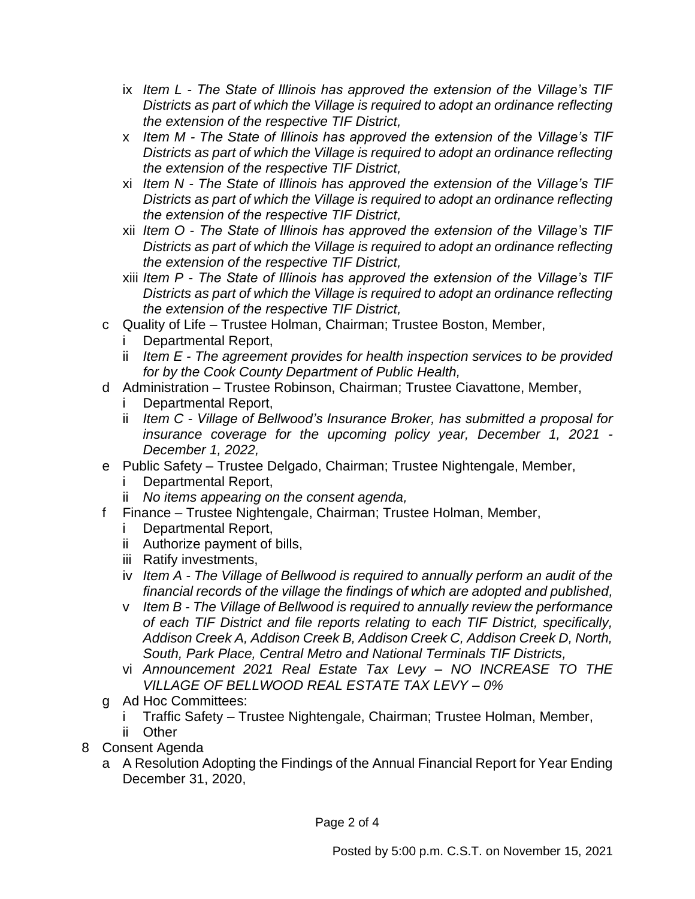- ix *Item L - The State of Illinois has approved the extension of the Village's TIF Districts as part of which the Village is required to adopt an ordinance reflecting the extension of the respective TIF District,*
- x *Item M - The State of Illinois has approved the extension of the Village's TIF Districts as part of which the Village is required to adopt an ordinance reflecting the extension of the respective TIF District,*
- xi *Item N - The State of Illinois has approved the extension of the Village's TIF Districts as part of which the Village is required to adopt an ordinance reflecting the extension of the respective TIF District,*
- xii *Item O - The State of Illinois has approved the extension of the Village's TIF Districts as part of which the Village is required to adopt an ordinance reflecting the extension of the respective TIF District,*
- xiii *Item P - The State of Illinois has approved the extension of the Village's TIF Districts as part of which the Village is required to adopt an ordinance reflecting the extension of the respective TIF District,*
- c Quality of Life Trustee Holman, Chairman; Trustee Boston, Member,
	- Departmental Report,
	- ii *Item E - The agreement provides for health inspection services to be provided for by the Cook County Department of Public Health,*
- d Administration Trustee Robinson, Chairman; Trustee Ciavattone, Member,
	- i Departmental Report,
	- ii *Item C - Village of Bellwood's Insurance Broker, has submitted a proposal for insurance coverage for the upcoming policy year, December 1, 2021 - December 1, 2022,*
- e Public Safety Trustee Delgado, Chairman; Trustee Nightengale, Member,
	- i Departmental Report,
	- ii *No items appearing on the consent agenda,*
- f Finance Trustee Nightengale, Chairman; Trustee Holman, Member,
	- i Departmental Report,
	- ii Authorize payment of bills,
	- iii Ratify investments,
	- iv *Item A - The Village of Bellwood is required to annually perform an audit of the financial records of the village the findings of which are adopted and published,*
	- v *Item B - The Village of Bellwood is required to annually review the performance of each TIF District and file reports relating to each TIF District, specifically, Addison Creek A, Addison Creek B, Addison Creek C, Addison Creek D, North, South, Park Place, Central Metro and National Terminals TIF Districts,*
	- vi *Announcement 2021 Real Estate Tax Levy – NO INCREASE TO THE VILLAGE OF BELLWOOD REAL ESTATE TAX LEVY – 0%*
- g Ad Hoc Committees:
	- i Traffic Safety Trustee Nightengale, Chairman; Trustee Holman, Member,
	- ii Other
- 8 Consent Agenda
	- a A Resolution Adopting the Findings of the Annual Financial Report for Year Ending December 31, 2020,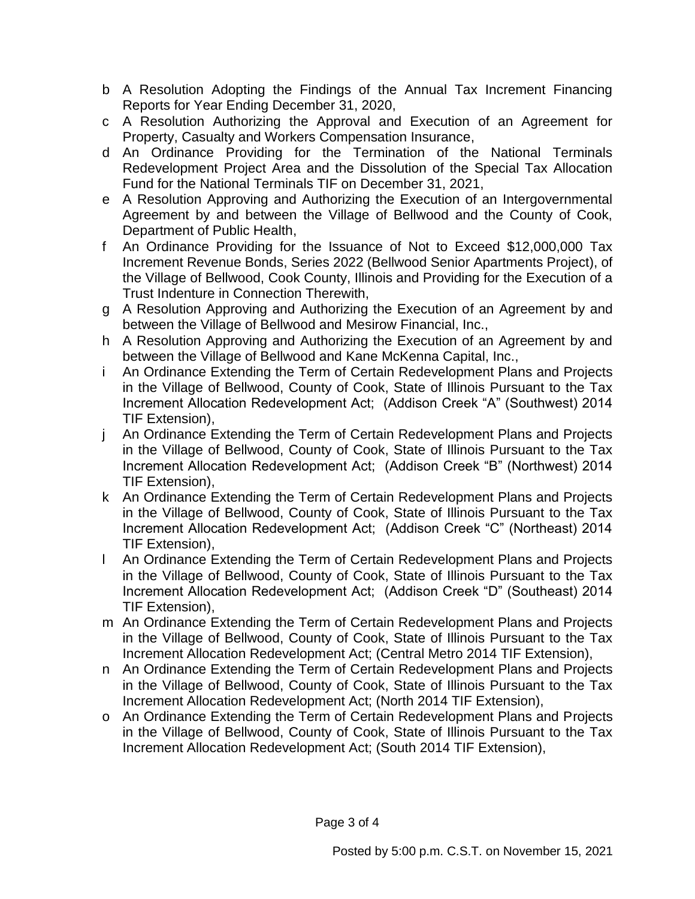- b A Resolution Adopting the Findings of the Annual Tax Increment Financing Reports for Year Ending December 31, 2020,
- c A Resolution Authorizing the Approval and Execution of an Agreement for Property, Casualty and Workers Compensation Insurance,
- d An Ordinance Providing for the Termination of the National Terminals Redevelopment Project Area and the Dissolution of the Special Tax Allocation Fund for the National Terminals TIF on December 31, 2021,
- e A Resolution Approving and Authorizing the Execution of an Intergovernmental Agreement by and between the Village of Bellwood and the County of Cook, Department of Public Health,
- f An Ordinance Providing for the Issuance of Not to Exceed \$12,000,000 Tax Increment Revenue Bonds, Series 2022 (Bellwood Senior Apartments Project), of the Village of Bellwood, Cook County, Illinois and Providing for the Execution of a Trust Indenture in Connection Therewith,
- g A Resolution Approving and Authorizing the Execution of an Agreement by and between the Village of Bellwood and Mesirow Financial, Inc.,
- h A Resolution Approving and Authorizing the Execution of an Agreement by and between the Village of Bellwood and Kane McKenna Capital, Inc.,
- i An Ordinance Extending the Term of Certain Redevelopment Plans and Projects in the Village of Bellwood, County of Cook, State of Illinois Pursuant to the Tax Increment Allocation Redevelopment Act; (Addison Creek "A" (Southwest) 2014 TIF Extension),
- j An Ordinance Extending the Term of Certain Redevelopment Plans and Projects in the Village of Bellwood, County of Cook, State of Illinois Pursuant to the Tax Increment Allocation Redevelopment Act; (Addison Creek "B" (Northwest) 2014 TIF Extension),
- k An Ordinance Extending the Term of Certain Redevelopment Plans and Projects in the Village of Bellwood, County of Cook, State of Illinois Pursuant to the Tax Increment Allocation Redevelopment Act; (Addison Creek "C" (Northeast) 2014 TIF Extension),
- l An Ordinance Extending the Term of Certain Redevelopment Plans and Projects in the Village of Bellwood, County of Cook, State of Illinois Pursuant to the Tax Increment Allocation Redevelopment Act; (Addison Creek "D" (Southeast) 2014 TIF Extension),
- m An Ordinance Extending the Term of Certain Redevelopment Plans and Projects in the Village of Bellwood, County of Cook, State of Illinois Pursuant to the Tax Increment Allocation Redevelopment Act; (Central Metro 2014 TIF Extension),
- n An Ordinance Extending the Term of Certain Redevelopment Plans and Projects in the Village of Bellwood, County of Cook, State of Illinois Pursuant to the Tax Increment Allocation Redevelopment Act; (North 2014 TIF Extension),
- o An Ordinance Extending the Term of Certain Redevelopment Plans and Projects in the Village of Bellwood, County of Cook, State of Illinois Pursuant to the Tax Increment Allocation Redevelopment Act; (South 2014 TIF Extension),